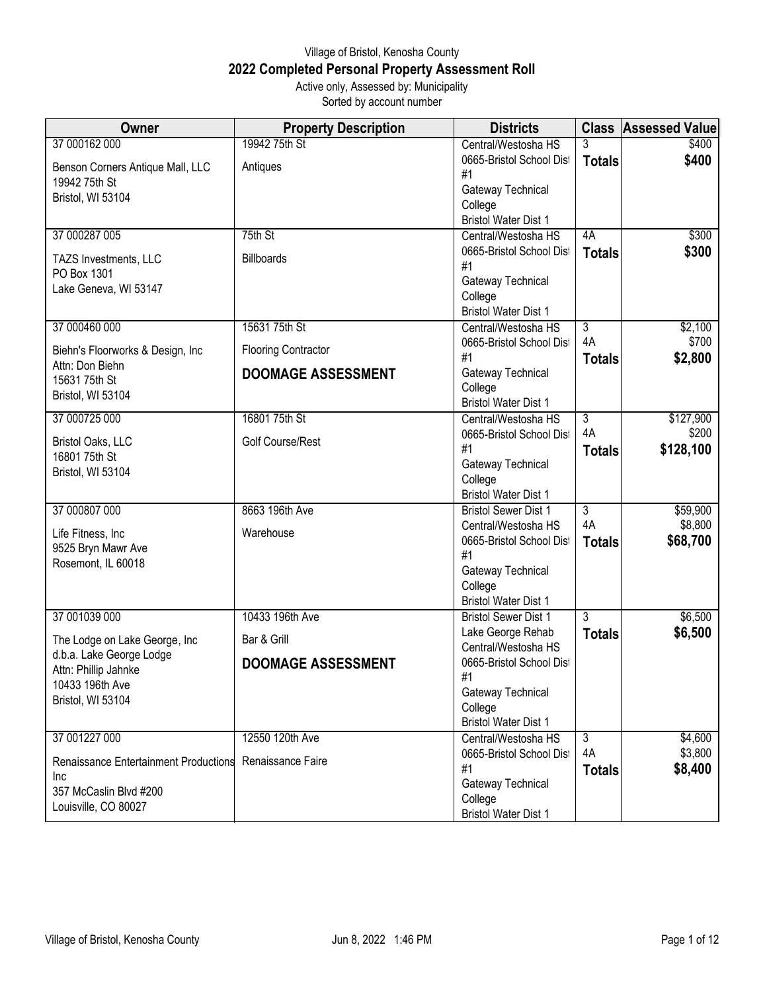## Village of Bristol, Kenosha County **2022 Completed Personal Property Assessment Roll** Active only, Assessed by: Municipality

Sorted by account number

| <b>Owner</b>                          | <b>Property Description</b> | <b>Districts</b>                                | <b>Class</b>         | <b>Assessed Value</b> |
|---------------------------------------|-----------------------------|-------------------------------------------------|----------------------|-----------------------|
| 37 000162 000                         | 19942 75th St               | Central/Westosha HS                             | 3                    | \$400                 |
| Benson Corners Antique Mall, LLC      | Antiques                    | 0665-Bristol School Dist                        | <b>Totals</b>        | \$400                 |
| 19942 75th St                         |                             | #1                                              |                      |                       |
| Bristol, WI 53104                     |                             | Gateway Technical                               |                      |                       |
|                                       |                             | College<br><b>Bristol Water Dist 1</b>          |                      |                       |
| 37 000287 005                         | 75th St                     | Central/Westosha HS                             | 4A                   | \$300                 |
|                                       |                             | 0665-Bristol School Dist                        | <b>Totals</b>        | \$300                 |
| TAZS Investments, LLC                 | <b>Billboards</b>           | #1                                              |                      |                       |
| PO Box 1301                           |                             | Gateway Technical                               |                      |                       |
| Lake Geneva, WI 53147                 |                             | College                                         |                      |                       |
|                                       |                             | <b>Bristol Water Dist 1</b>                     |                      |                       |
| 37 000460 000                         | 15631 75th St               | Central/Westosha HS                             | $\overline{3}$       | \$2,100               |
| Biehn's Floorworks & Design, Inc      | <b>Flooring Contractor</b>  | 0665-Bristol School Dist                        | 4A                   | \$700                 |
| Attn: Don Biehn                       |                             | #1                                              | <b>Totals</b>        | \$2,800               |
| 15631 75th St                         | <b>DOOMAGE ASSESSMENT</b>   | Gateway Technical<br>College                    |                      |                       |
| Bristol, WI 53104                     |                             | <b>Bristol Water Dist 1</b>                     |                      |                       |
| 37 000725 000                         | 16801 75th St               | Central/Westosha HS                             | $\overline{3}$       | \$127,900             |
|                                       |                             | 0665-Bristol School Dist                        | 4A                   | \$200                 |
| Bristol Oaks, LLC<br>16801 75th St    | Golf Course/Rest            | #1                                              | <b>Totals</b>        | \$128,100             |
| Bristol, WI 53104                     |                             | Gateway Technical                               |                      |                       |
|                                       |                             | College                                         |                      |                       |
|                                       |                             | <b>Bristol Water Dist 1</b>                     |                      |                       |
| 37 000807 000                         | 8663 196th Ave              | <b>Bristol Sewer Dist 1</b>                     | $\overline{3}$<br>4A | \$59,900<br>\$8,800   |
| Life Fitness, Inc                     | Warehouse                   | Central/Westosha HS<br>0665-Bristol School Dist |                      | \$68,700              |
| 9525 Bryn Mawr Ave                    |                             | #1                                              | <b>Totals</b>        |                       |
| Rosemont, IL 60018                    |                             | Gateway Technical                               |                      |                       |
|                                       |                             | College                                         |                      |                       |
|                                       |                             | <b>Bristol Water Dist 1</b>                     |                      |                       |
| 37 001039 000                         | 10433 196th Ave             | <b>Bristol Sewer Dist 1</b>                     | 3                    | \$6,500               |
| The Lodge on Lake George, Inc         | Bar & Grill                 | Lake George Rehab                               | <b>Totals</b>        | \$6,500               |
| d.b.a. Lake George Lodge              |                             | Central/Westosha HS                             |                      |                       |
| Attn: Phillip Jahnke                  | <b>DOOMAGE ASSESSMENT</b>   | 0665-Bristol School Dist<br>#1                  |                      |                       |
| 10433 196th Ave                       |                             | Gateway Technical                               |                      |                       |
| Bristol, WI 53104                     |                             | College                                         |                      |                       |
|                                       |                             | <b>Bristol Water Dist 1</b>                     |                      |                       |
| 37 001227 000                         | 12550 120th Ave             | Central/Westosha HS                             | 3                    | \$4,600               |
| Renaissance Entertainment Productions | Renaissance Faire           | 0665-Bristol School Dist                        | 4A                   | \$3,800               |
| Inc                                   |                             | #1                                              | <b>Totals</b>        | \$8,400               |
| 357 McCaslin Blvd #200                |                             | Gateway Technical                               |                      |                       |
| Louisville, CO 80027                  |                             | College<br><b>Bristol Water Dist 1</b>          |                      |                       |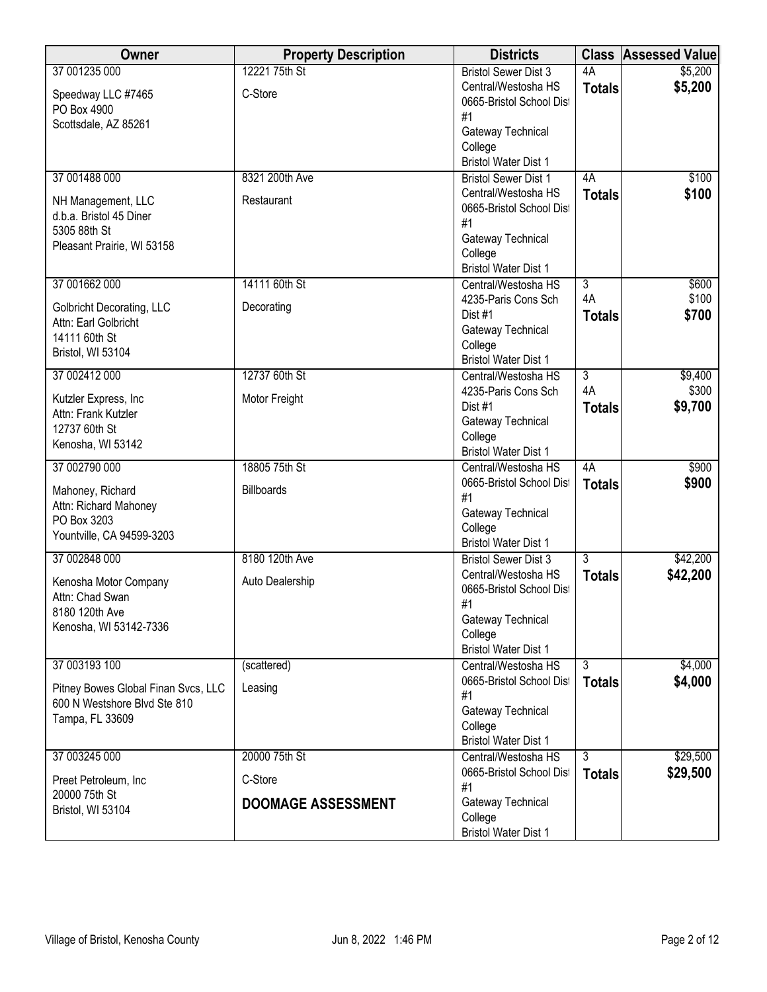| Owner                               | <b>Property Description</b> | <b>Districts</b>                                           | <b>Class</b>   | <b>Assessed Value</b> |
|-------------------------------------|-----------------------------|------------------------------------------------------------|----------------|-----------------------|
| 37 001235 000                       | 12221 75th St               | <b>Bristol Sewer Dist 3</b>                                | 4A             | \$5,200               |
| Speedway LLC #7465                  | C-Store                     | Central/Westosha HS                                        | <b>Totals</b>  | \$5,200               |
| PO Box 4900                         |                             | 0665-Bristol School Dist                                   |                |                       |
| Scottsdale, AZ 85261                |                             | #1                                                         |                |                       |
|                                     |                             | Gateway Technical                                          |                |                       |
|                                     |                             | College<br><b>Bristol Water Dist 1</b>                     |                |                       |
| 37 001488 000                       | 8321 200th Ave              | <b>Bristol Sewer Dist 1</b>                                | 4A             | \$100                 |
|                                     |                             | Central/Westosha HS                                        | <b>Totals</b>  | \$100                 |
| NH Management, LLC                  | Restaurant                  | 0665-Bristol School Dist                                   |                |                       |
| d.b.a. Bristol 45 Diner             |                             | #1                                                         |                |                       |
| 5305 88th St                        |                             | Gateway Technical                                          |                |                       |
| Pleasant Prairie, WI 53158          |                             | College                                                    |                |                       |
|                                     |                             | <b>Bristol Water Dist 1</b>                                |                |                       |
| 37 001662 000                       | 14111 60th St               | Central/Westosha HS                                        | $\overline{3}$ | \$600                 |
| Golbricht Decorating, LLC           | Decorating                  | 4235-Paris Cons Sch                                        | 4A             | \$100                 |
| Attn: Earl Golbricht                |                             | Dist #1                                                    | <b>Totals</b>  | \$700                 |
| 14111 60th St                       |                             | Gateway Technical                                          |                |                       |
| Bristol, WI 53104                   |                             | College                                                    |                |                       |
|                                     |                             | <b>Bristol Water Dist 1</b>                                |                |                       |
| 37 002412 000                       | 12737 60th St               | Central/Westosha HS<br>4235-Paris Cons Sch                 | 3<br>4A        | \$9,400<br>\$300      |
| Kutzler Express, Inc                | Motor Freight               | Dist #1                                                    |                | \$9,700               |
| Attn: Frank Kutzler                 |                             | Gateway Technical                                          | <b>Totals</b>  |                       |
| 12737 60th St                       |                             | College                                                    |                |                       |
| Kenosha, WI 53142                   |                             | <b>Bristol Water Dist 1</b>                                |                |                       |
| 37 002790 000                       | 18805 75th St               | Central/Westosha HS                                        | 4A             | \$900                 |
| Mahoney, Richard                    | <b>Billboards</b>           | 0665-Bristol School Dist                                   | <b>Totals</b>  | \$900                 |
| Attn: Richard Mahoney               |                             | #1                                                         |                |                       |
| PO Box 3203                         |                             | Gateway Technical                                          |                |                       |
| Yountville, CA 94599-3203           |                             | College                                                    |                |                       |
| 37 002848 000                       | 8180 120th Ave              | <b>Bristol Water Dist 1</b><br><b>Bristol Sewer Dist 3</b> | $\overline{3}$ | \$42,200              |
|                                     |                             | Central/Westosha HS                                        | <b>Totals</b>  | \$42,200              |
| Kenosha Motor Company               | Auto Dealership             | 0665-Bristol School Dist                                   |                |                       |
| Attn: Chad Swan                     |                             | #1                                                         |                |                       |
| 8180 120th Ave                      |                             | Gateway Technical                                          |                |                       |
| Kenosha, WI 53142-7336              |                             | College                                                    |                |                       |
|                                     |                             | <b>Bristol Water Dist 1</b>                                |                |                       |
| 37 003193 100                       | (scattered)                 | Central/Westosha HS                                        | 3              | \$4,000               |
| Pitney Bowes Global Finan Svcs, LLC | Leasing                     | 0665-Bristol School Dist                                   | <b>Totals</b>  | \$4,000               |
| 600 N Westshore Blvd Ste 810        |                             | #1                                                         |                |                       |
| Tampa, FL 33609                     |                             | Gateway Technical                                          |                |                       |
|                                     |                             | College<br><b>Bristol Water Dist 1</b>                     |                |                       |
| 37 003245 000                       | 20000 75th St               |                                                            | $\overline{3}$ | \$29,500              |
|                                     |                             | Central/Westosha HS<br>0665-Bristol School Dist            | <b>Totals</b>  | \$29,500              |
| Preet Petroleum, Inc                | C-Store                     | #1                                                         |                |                       |
| 20000 75th St                       | <b>DOOMAGE ASSESSMENT</b>   | Gateway Technical                                          |                |                       |
| Bristol, WI 53104                   |                             | College                                                    |                |                       |
|                                     |                             | <b>Bristol Water Dist 1</b>                                |                |                       |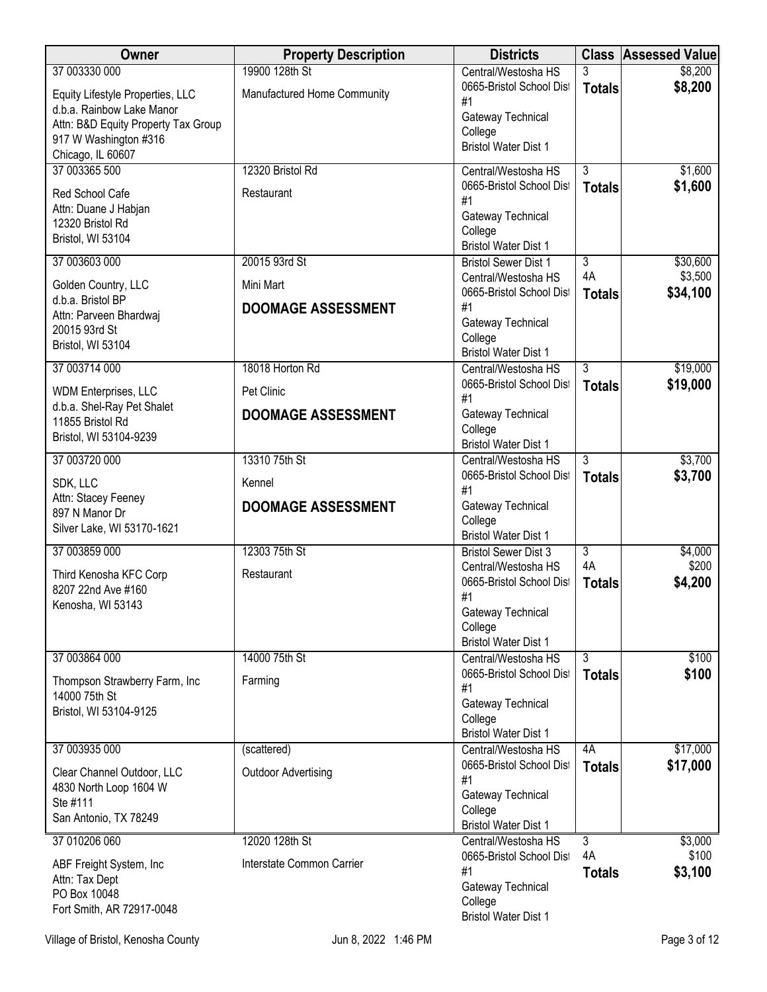| Owner                                      | <b>Property Description</b> | <b>Districts</b>                                |                | <b>Class Assessed Value</b> |
|--------------------------------------------|-----------------------------|-------------------------------------------------|----------------|-----------------------------|
| 37 003330 000                              | 19900 128th St              | Central/Westosha HS                             | 3              | \$8,200                     |
| Equity Lifestyle Properties, LLC           | Manufactured Home Community | 0665-Bristol School Dist<br>#1                  | <b>Totals</b>  | \$8,200                     |
| d.b.a. Rainbow Lake Manor                  |                             | Gateway Technical                               |                |                             |
| Attn: B&D Equity Property Tax Group        |                             | College                                         |                |                             |
| 917 W Washington #316<br>Chicago, IL 60607 |                             | <b>Bristol Water Dist 1</b>                     |                |                             |
| 37 003365 500                              | 12320 Bristol Rd            | Central/Westosha HS                             | $\overline{3}$ | \$1,600                     |
| Red School Cafe                            | Restaurant                  | 0665-Bristol School Dist                        | <b>Totals</b>  | \$1,600                     |
| Attn: Duane J Habjan                       |                             | #1                                              |                |                             |
| 12320 Bristol Rd                           |                             | Gateway Technical                               |                |                             |
| Bristol, WI 53104                          |                             | College<br><b>Bristol Water Dist 1</b>          |                |                             |
| 37 003603 000                              | 20015 93rd St               | <b>Bristol Sewer Dist 1</b>                     | $\overline{3}$ | \$30,600                    |
| Golden Country, LLC                        | Mini Mart                   | Central/Westosha HS                             | 4A             | \$3,500                     |
| d.b.a. Bristol BP                          |                             | 0665-Bristol School Dist                        | <b>Totals</b>  | \$34,100                    |
| Attn: Parveen Bhardwaj                     | <b>DOOMAGE ASSESSMENT</b>   | #1<br>Gateway Technical                         |                |                             |
| 20015 93rd St                              |                             | College                                         |                |                             |
| Bristol, WI 53104                          |                             | <b>Bristol Water Dist 1</b>                     |                |                             |
| 37 003714 000                              | 18018 Horton Rd             | Central/Westosha HS                             | $\overline{3}$ | \$19,000                    |
| <b>WDM Enterprises, LLC</b>                | Pet Clinic                  | 0665-Bristol School Dist                        | <b>Totals</b>  | \$19,000                    |
| d.b.a. Shel-Ray Pet Shalet                 |                             | #1                                              |                |                             |
| 11855 Bristol Rd                           | <b>DOOMAGE ASSESSMENT</b>   | Gateway Technical<br>College                    |                |                             |
| Bristol, WI 53104-9239                     |                             | <b>Bristol Water Dist 1</b>                     |                |                             |
| 37 003720 000                              | 13310 75th St               | Central/Westosha HS                             | $\overline{3}$ | \$3,700                     |
| SDK, LLC                                   | Kennel                      | 0665-Bristol School Dist                        | <b>Totals</b>  | \$3,700                     |
| Attn: Stacey Feeney                        | <b>DOOMAGE ASSESSMENT</b>   | #1<br>Gateway Technical                         |                |                             |
| 897 N Manor Dr                             |                             | College                                         |                |                             |
| Silver Lake, WI 53170-1621                 |                             | <b>Bristol Water Dist 1</b>                     |                |                             |
| 37 003859 000                              | 12303 75th St               | <b>Bristol Sewer Dist 3</b>                     | 3              | \$4,000                     |
| Third Kenosha KFC Corp                     | Restaurant                  | Central/Westosha HS                             | 4A             | \$200                       |
| 8207 22nd Ave #160                         |                             | 0665-Bristol School Dist<br>#1                  | <b>Totals</b>  | \$4,200                     |
| Kenosha, WI 53143                          |                             | Gateway Technical                               |                |                             |
|                                            |                             | College                                         |                |                             |
|                                            |                             | <b>Bristol Water Dist 1</b>                     |                |                             |
| 37 003864 000                              | 14000 75th St               | Central/Westosha HS<br>0665-Bristol School Dist | 3              | \$100                       |
| Thompson Strawberry Farm, Inc              | Farming                     | #1                                              | <b>Totals</b>  | \$100                       |
| 14000 75th St                              |                             | Gateway Technical                               |                |                             |
| Bristol, WI 53104-9125                     |                             | College                                         |                |                             |
|                                            |                             | <b>Bristol Water Dist 1</b>                     |                |                             |
| 37 003935 000                              | (scattered)                 | Central/Westosha HS<br>0665-Bristol School Dist | 4A             | \$17,000<br>\$17,000        |
| Clear Channel Outdoor, LLC                 | <b>Outdoor Advertising</b>  | #1                                              | <b>Totals</b>  |                             |
| 4830 North Loop 1604 W<br>Ste #111         |                             | Gateway Technical                               |                |                             |
| San Antonio, TX 78249                      |                             | College                                         |                |                             |
|                                            |                             | <b>Bristol Water Dist 1</b>                     |                |                             |
| 37 010206 060                              | 12020 128th St              | Central/Westosha HS<br>0665-Bristol School Dist | 3<br>4A        | \$3,000<br>\$100            |
| ABF Freight System, Inc                    | Interstate Common Carrier   | #1                                              | <b>Totals</b>  | \$3,100                     |
| Attn: Tax Dept<br>PO Box 10048             |                             | Gateway Technical                               |                |                             |
| Fort Smith, AR 72917-0048                  |                             | College                                         |                |                             |
|                                            |                             | <b>Bristol Water Dist 1</b>                     |                |                             |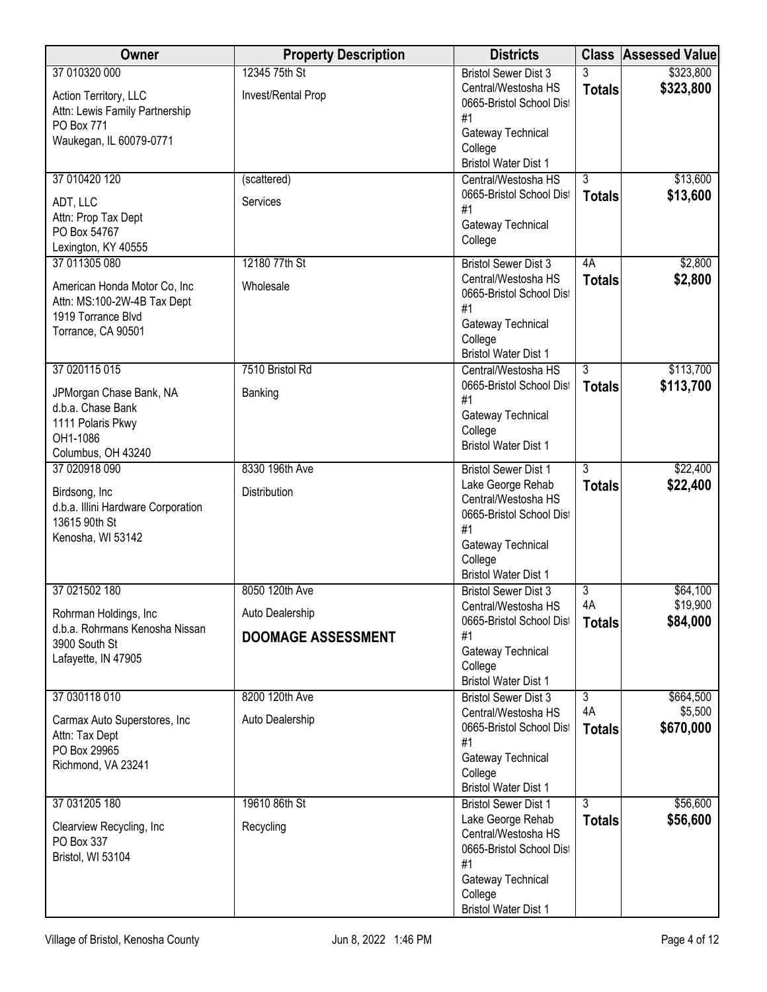| Owner                                                   | <b>Property Description</b> | <b>Districts</b>                                 |                    | <b>Class Assessed Value</b> |
|---------------------------------------------------------|-----------------------------|--------------------------------------------------|--------------------|-----------------------------|
| 37 010320 000                                           | 12345 75th St               | <b>Bristol Sewer Dist 3</b>                      | 3                  | \$323,800                   |
| Action Territory, LLC                                   | Invest/Rental Prop          | Central/Westosha HS                              | <b>Totals</b>      | \$323,800                   |
| Attn: Lewis Family Partnership                          |                             | 0665-Bristol School Dist<br>#1                   |                    |                             |
| PO Box 771                                              |                             | Gateway Technical                                |                    |                             |
| Waukegan, IL 60079-0771                                 |                             | College                                          |                    |                             |
|                                                         |                             | <b>Bristol Water Dist 1</b>                      |                    |                             |
| 37 010420 120                                           | (scattered)                 | Central/Westosha HS<br>0665-Bristol School Dist  | $\overline{3}$     | \$13,600<br>\$13,600        |
| ADT, LLC                                                | Services                    | #1                                               | <b>Totals</b>      |                             |
| Attn: Prop Tax Dept<br>PO Box 54767                     |                             | Gateway Technical                                |                    |                             |
| Lexington, KY 40555                                     |                             | College                                          |                    |                             |
| 37 011305 080                                           | 12180 77th St               | <b>Bristol Sewer Dist 3</b>                      | 4A                 | \$2,800                     |
| American Honda Motor Co, Inc                            | Wholesale                   | Central/Westosha HS                              | <b>Totals</b>      | \$2,800                     |
| Attn: MS:100-2W-4B Tax Dept                             |                             | 0665-Bristol School Dist<br>#1                   |                    |                             |
| 1919 Torrance Blvd                                      |                             | Gateway Technical                                |                    |                             |
| Torrance, CA 90501                                      |                             | College                                          |                    |                             |
|                                                         |                             | <b>Bristol Water Dist 1</b>                      |                    |                             |
| 37 020115 015                                           | 7510 Bristol Rd             | Central/Westosha HS                              | $\overline{3}$     | \$113,700                   |
| JPMorgan Chase Bank, NA                                 | Banking                     | 0665-Bristol School Dist<br>#1                   | <b>Totals</b>      | \$113,700                   |
| d.b.a. Chase Bank                                       |                             | Gateway Technical                                |                    |                             |
| 1111 Polaris Pkwy<br>OH1-1086                           |                             | College                                          |                    |                             |
| Columbus, OH 43240                                      |                             | <b>Bristol Water Dist 1</b>                      |                    |                             |
| 37 020918 090                                           | 8330 196th Ave              | <b>Bristol Sewer Dist 1</b>                      | $\overline{3}$     | \$22,400                    |
| Birdsong, Inc                                           | Distribution                | Lake George Rehab                                | <b>Totals</b>      | \$22,400                    |
| d.b.a. Illini Hardware Corporation                      |                             | Central/Westosha HS<br>0665-Bristol School Dist  |                    |                             |
| 13615 90th St                                           |                             | #1                                               |                    |                             |
| Kenosha, WI 53142                                       |                             | Gateway Technical                                |                    |                             |
|                                                         |                             | College<br><b>Bristol Water Dist 1</b>           |                    |                             |
| 37 021502 180                                           | 8050 120th Ave              | <b>Bristol Sewer Dist 3</b>                      | 3                  | \$64,100                    |
|                                                         |                             | Central/Westosha HS                              | 4A                 | \$19,900                    |
| Rohrman Holdings, Inc<br>d.b.a. Rohrmans Kenosha Nissan | Auto Dealership             | 0665-Bristol School Dist                         | <b>Totals</b>      | \$84,000                    |
| 3900 South St                                           | <b>DOOMAGE ASSESSMENT</b>   | #1                                               |                    |                             |
| Lafayette, IN 47905                                     |                             | Gateway Technical<br>College                     |                    |                             |
|                                                         |                             | <b>Bristol Water Dist 1</b>                      |                    |                             |
| 37 030118 010                                           | 8200 120th Ave              | <b>Bristol Sewer Dist 3</b>                      | 3                  | \$664,500                   |
| Carmax Auto Superstores, Inc                            | Auto Dealership             | Central/Westosha HS                              | 4A                 | \$5,500                     |
| Attn: Tax Dept                                          |                             | 0665-Bristol School Dist<br>#1                   | <b>Totals</b>      | \$670,000                   |
| PO Box 29965                                            |                             | Gateway Technical                                |                    |                             |
| Richmond, VA 23241                                      |                             | College                                          |                    |                             |
|                                                         |                             | <b>Bristol Water Dist 1</b>                      |                    |                             |
| 37 031205 180                                           | 19610 86th St               | <b>Bristol Sewer Dist 1</b><br>Lake George Rehab | 3<br><b>Totals</b> | \$56,600<br>\$56,600        |
| Clearview Recycling, Inc                                | Recycling                   | Central/Westosha HS                              |                    |                             |
| PO Box 337<br>Bristol, WI 53104                         |                             | 0665-Bristol School Dist                         |                    |                             |
|                                                         |                             | #1                                               |                    |                             |
|                                                         |                             | Gateway Technical<br>College                     |                    |                             |
|                                                         |                             | <b>Bristol Water Dist 1</b>                      |                    |                             |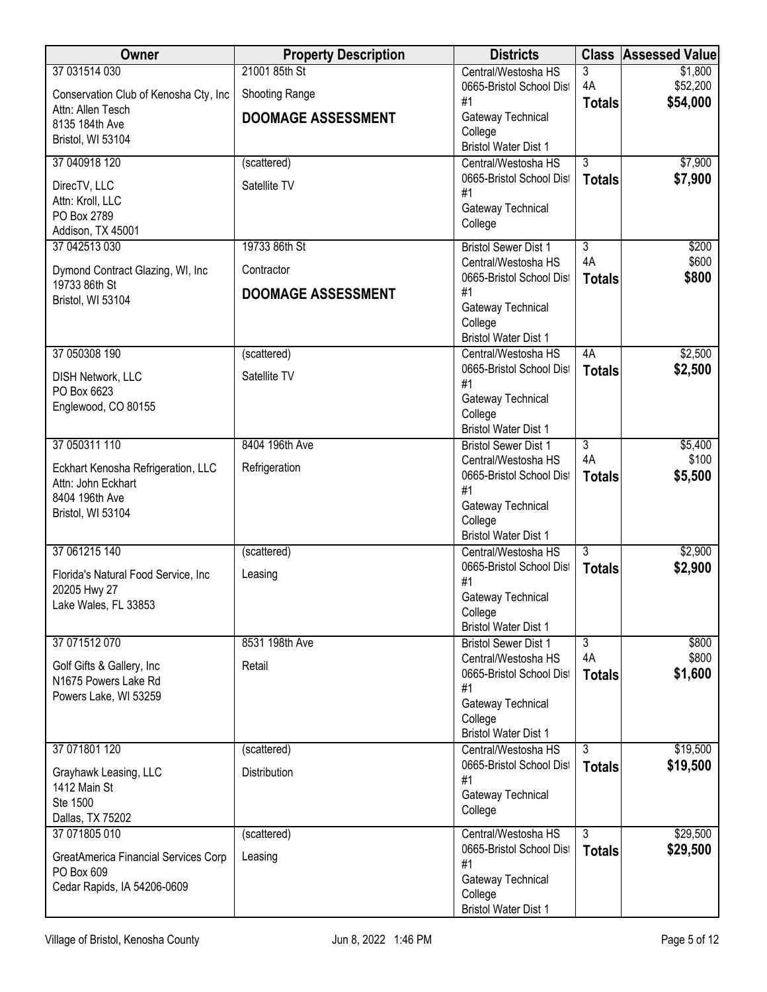| Owner                                              | <b>Property Description</b> | <b>Districts</b>                                   | <b>Class</b>                    | <b>Assessed Value</b> |
|----------------------------------------------------|-----------------------------|----------------------------------------------------|---------------------------------|-----------------------|
| 37 031514 030                                      | 21001 85th St               | Central/Westosha HS                                | 3                               | \$1,800               |
| Conservation Club of Kenosha Cty, Inc              | Shooting Range              | 0665-Bristol School Dist<br>#1                     | 4A<br><b>Totals</b>             | \$52,200<br>\$54,000  |
| Attn: Allen Tesch<br>8135 184th Ave                | <b>DOOMAGE ASSESSMENT</b>   | Gateway Technical                                  |                                 |                       |
| Bristol, WI 53104                                  |                             | College                                            |                                 |                       |
| 37 040918 120                                      | (scattered)                 | <b>Bristol Water Dist 1</b><br>Central/Westosha HS | $\overline{3}$                  | \$7,900               |
|                                                    |                             | 0665-Bristol School Dist                           | <b>Totals</b>                   | \$7,900               |
| DirecTV, LLC<br>Attn: Kroll, LLC                   | Satellite TV                | #1                                                 |                                 |                       |
| PO Box 2789                                        |                             | Gateway Technical                                  |                                 |                       |
| Addison, TX 45001                                  |                             | College                                            |                                 |                       |
| 37 042513 030                                      | 19733 86th St               | <b>Bristol Sewer Dist 1</b>                        | $\overline{3}$                  | \$200                 |
| Dymond Contract Glazing, WI, Inc.                  | Contractor                  | Central/Westosha HS<br>0665-Bristol School Dist    | 4A<br><b>Totals</b>             | \$600<br>\$800        |
| 19733 86th St                                      | <b>DOOMAGE ASSESSMENT</b>   | #1                                                 |                                 |                       |
| Bristol, WI 53104                                  |                             | Gateway Technical                                  |                                 |                       |
|                                                    |                             | College<br><b>Bristol Water Dist 1</b>             |                                 |                       |
| 37 050308 190                                      | (scattered)                 | Central/Westosha HS                                | 4A                              | \$2,500               |
| <b>DISH Network, LLC</b>                           | Satellite TV                | 0665-Bristol School Dist                           | <b>Totals</b>                   | \$2,500               |
| PO Box 6623                                        |                             | #1                                                 |                                 |                       |
| Englewood, CO 80155                                |                             | Gateway Technical<br>College                       |                                 |                       |
|                                                    |                             | <b>Bristol Water Dist 1</b>                        |                                 |                       |
| 37 050311 110                                      | 8404 196th Ave              | <b>Bristol Sewer Dist 1</b>                        | $\overline{3}$                  | \$5,400               |
| Eckhart Kenosha Refrigeration, LLC                 | Refrigeration               | Central/Westosha HS<br>0665-Bristol School Dist    | 4A                              | \$100<br>\$5,500      |
| Attn: John Eckhart                                 |                             | #1                                                 | <b>Totals</b>                   |                       |
| 8404 196th Ave<br>Bristol, WI 53104                |                             | Gateway Technical                                  |                                 |                       |
|                                                    |                             | College<br><b>Bristol Water Dist 1</b>             |                                 |                       |
| 37 061215 140                                      | (scattered)                 | Central/Westosha HS                                | 3                               | \$2,900               |
| Florida's Natural Food Service, Inc                | Leasing                     | 0665-Bristol School Dist                           | <b>Totals</b>                   | \$2,900               |
| 20205 Hwy 27                                       |                             | #1                                                 |                                 |                       |
| Lake Wales, FL 33853                               |                             | Gateway Technical<br>College                       |                                 |                       |
|                                                    |                             | <b>Bristol Water Dist 1</b>                        |                                 |                       |
| 37 071512 070                                      | 8531 198th Ave              | <b>Bristol Sewer Dist 1</b>                        | $\overline{3}$                  | \$800                 |
| Golf Gifts & Gallery, Inc                          | Retail                      | Central/Westosha HS<br>0665-Bristol School Dist    | 4A<br><b>Totals</b>             | \$800<br>\$1,600      |
| N1675 Powers Lake Rd                               |                             | #1                                                 |                                 |                       |
| Powers Lake, WI 53259                              |                             | Gateway Technical                                  |                                 |                       |
|                                                    |                             | College<br><b>Bristol Water Dist 1</b>             |                                 |                       |
| 37 071801 120                                      | (scattered)                 | Central/Westosha HS                                | $\overline{3}$                  | \$19,500              |
| Grayhawk Leasing, LLC                              | Distribution                | 0665-Bristol School Dist                           | <b>Totals</b>                   | \$19,500              |
| 1412 Main St                                       |                             | #1                                                 |                                 |                       |
| Ste 1500                                           |                             | Gateway Technical<br>College                       |                                 |                       |
| Dallas, TX 75202                                   |                             |                                                    |                                 |                       |
| 37 071805 010                                      | (scattered)                 | Central/Westosha HS<br>0665-Bristol School Dist    | $\overline{3}$<br><b>Totals</b> | \$29,500<br>\$29,500  |
| GreatAmerica Financial Services Corp<br>PO Box 609 | Leasing                     | #1                                                 |                                 |                       |
| Cedar Rapids, IA 54206-0609                        |                             | Gateway Technical                                  |                                 |                       |
|                                                    |                             | College<br><b>Bristol Water Dist 1</b>             |                                 |                       |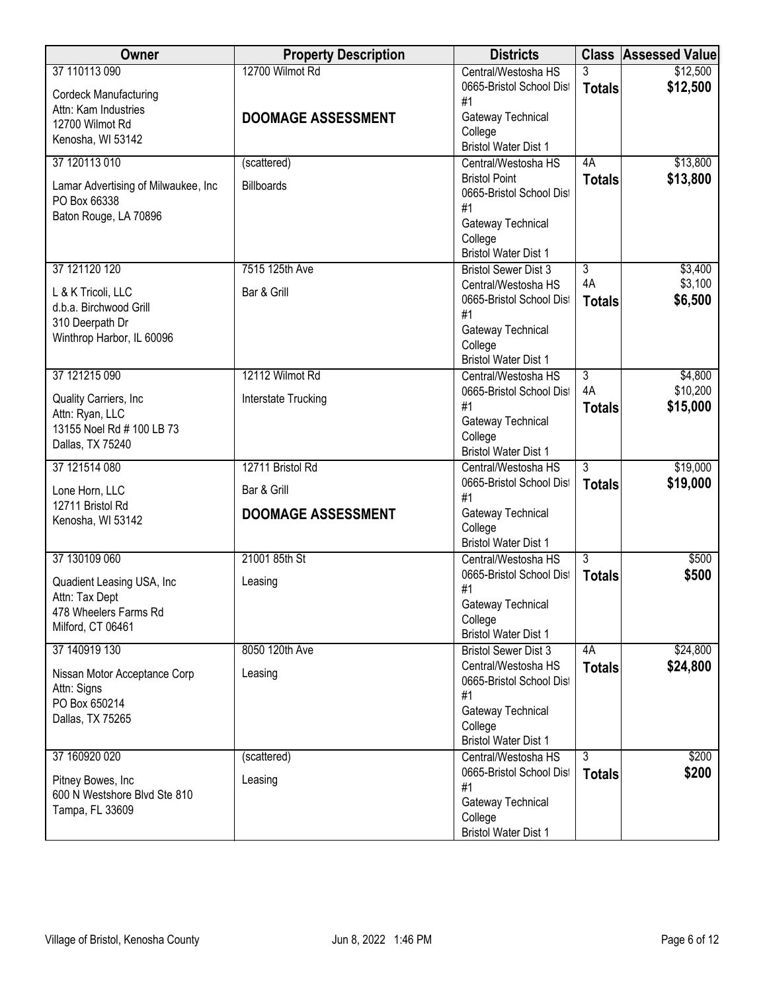| Owner                                              | <b>Property Description</b> | <b>Districts</b>                                           |                | <b>Class Assessed Value</b> |
|----------------------------------------------------|-----------------------------|------------------------------------------------------------|----------------|-----------------------------|
| 37 110113 090                                      | 12700 Wilmot Rd             | Central/Westosha HS                                        | 3              | \$12,500                    |
| <b>Cordeck Manufacturing</b>                       |                             | 0665-Bristol School Dist                                   | <b>Totals</b>  | \$12,500                    |
| Attn: Kam Industries                               |                             | #1<br>Gateway Technical                                    |                |                             |
| 12700 Wilmot Rd                                    | <b>DOOMAGE ASSESSMENT</b>   | College                                                    |                |                             |
| Kenosha, WI 53142                                  |                             | <b>Bristol Water Dist 1</b>                                |                |                             |
| 37 120113 010                                      | (scattered)                 | Central/Westosha HS                                        | 4A             | \$13,800                    |
| Lamar Advertising of Milwaukee, Inc                | <b>Billboards</b>           | <b>Bristol Point</b>                                       | <b>Totals</b>  | \$13,800                    |
| PO Box 66338                                       |                             | 0665-Bristol School Dist                                   |                |                             |
| Baton Rouge, LA 70896                              |                             | #1                                                         |                |                             |
|                                                    |                             | Gateway Technical<br>College                               |                |                             |
|                                                    |                             | <b>Bristol Water Dist 1</b>                                |                |                             |
| 37 121120 120                                      | 7515 125th Ave              | <b>Bristol Sewer Dist 3</b>                                | $\overline{3}$ | \$3,400                     |
| L & K Tricoli, LLC                                 | Bar & Grill                 | Central/Westosha HS                                        | 4A             | \$3,100                     |
| d.b.a. Birchwood Grill                             |                             | 0665-Bristol School Dist                                   | <b>Totals</b>  | \$6,500                     |
| 310 Deerpath Dr                                    |                             | #1<br>Gateway Technical                                    |                |                             |
| Winthrop Harbor, IL 60096                          |                             | College                                                    |                |                             |
|                                                    |                             | <b>Bristol Water Dist 1</b>                                |                |                             |
| 37 121215 090                                      | 12112 Wilmot Rd             | Central/Westosha HS                                        | 3              | \$4,800                     |
| Quality Carriers, Inc                              | Interstate Trucking         | 0665-Bristol School Dist                                   | 4A             | \$10,200                    |
| Attn: Ryan, LLC                                    |                             | #1                                                         | <b>Totals</b>  | \$15,000                    |
| 13155 Noel Rd # 100 LB 73                          |                             | Gateway Technical<br>College                               |                |                             |
| Dallas, TX 75240                                   |                             | <b>Bristol Water Dist 1</b>                                |                |                             |
| 37 121514 080                                      | 12711 Bristol Rd            | Central/Westosha HS                                        | $\overline{3}$ | \$19,000                    |
| Lone Horn, LLC                                     | Bar & Grill                 | 0665-Bristol School Dist                                   | <b>Totals</b>  | \$19,000                    |
| 12711 Bristol Rd                                   |                             | #1                                                         |                |                             |
| Kenosha, WI 53142                                  | <b>DOOMAGE ASSESSMENT</b>   | Gateway Technical                                          |                |                             |
|                                                    |                             | College<br><b>Bristol Water Dist 1</b>                     |                |                             |
| 37 130109 060                                      | 21001 85th St               | Central/Westosha HS                                        | $\overline{3}$ | \$500                       |
|                                                    |                             | 0665-Bristol School Dist                                   | <b>Totals</b>  | \$500                       |
| Quadient Leasing USA, Inc<br>Attn: Tax Dept        | Leasing                     | #1                                                         |                |                             |
| 478 Wheelers Farms Rd                              |                             | Gateway Technical                                          |                |                             |
| Milford, CT 06461                                  |                             | College                                                    |                |                             |
| 37 140919 130                                      | 8050 120th Ave              | <b>Bristol Water Dist 1</b><br><b>Bristol Sewer Dist 3</b> | 4A             | \$24,800                    |
|                                                    |                             | Central/Westosha HS                                        | <b>Totals</b>  | \$24,800                    |
| Nissan Motor Acceptance Corp                       | Leasing                     | 0665-Bristol School Dist                                   |                |                             |
| Attn: Signs<br>PO Box 650214                       |                             | #1                                                         |                |                             |
| Dallas, TX 75265                                   |                             | Gateway Technical                                          |                |                             |
|                                                    |                             | College<br><b>Bristol Water Dist 1</b>                     |                |                             |
| 37 160920 020                                      | (scattered)                 | Central/Westosha HS                                        | $\overline{3}$ | \$200                       |
|                                                    |                             | 0665-Bristol School Dist                                   | <b>Totals</b>  | \$200                       |
| Pitney Bowes, Inc.<br>600 N Westshore Blvd Ste 810 | Leasing                     | #1                                                         |                |                             |
| Tampa, FL 33609                                    |                             | Gateway Technical                                          |                |                             |
|                                                    |                             | College                                                    |                |                             |
|                                                    |                             | <b>Bristol Water Dist 1</b>                                |                |                             |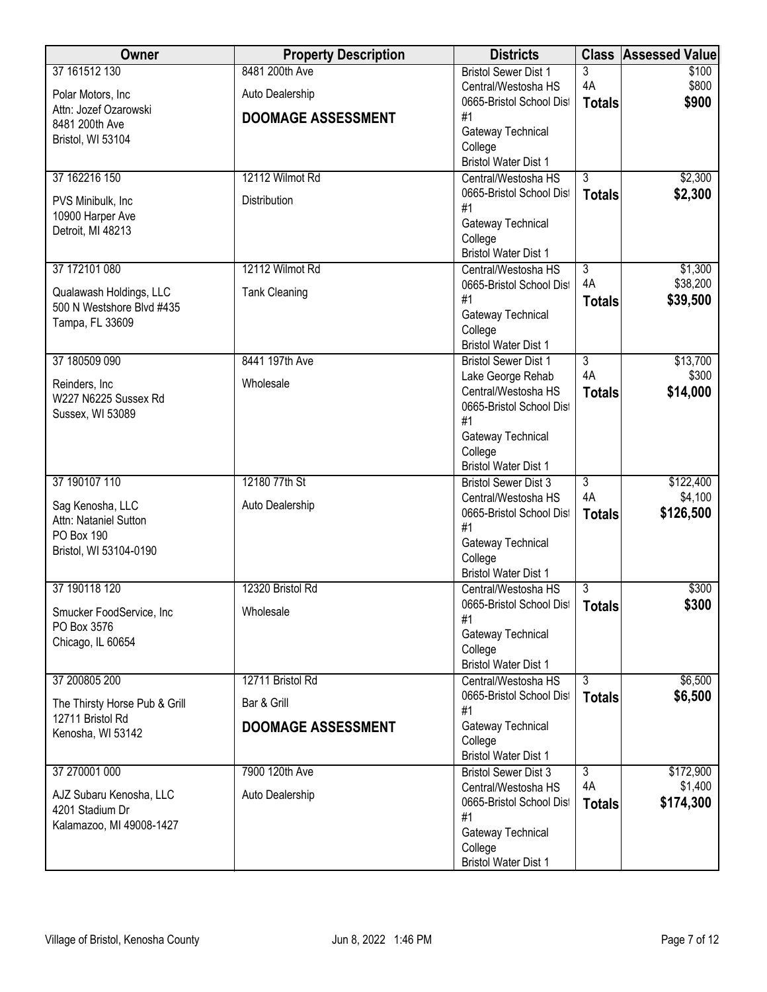| Owner                                     | <b>Property Description</b> | <b>Districts</b>                                           | <b>Class</b>        | <b>Assessed Value</b> |
|-------------------------------------------|-----------------------------|------------------------------------------------------------|---------------------|-----------------------|
| 37 161512 130                             | 8481 200th Ave              | <b>Bristol Sewer Dist 1</b>                                | 3                   | \$100                 |
| Polar Motors, Inc                         | Auto Dealership             | Central/Westosha HS                                        | 4A                  | \$800                 |
| Attn: Jozef Ozarowski                     | <b>DOOMAGE ASSESSMENT</b>   | 0665-Bristol School Dist<br>#1                             | <b>Totals</b>       | \$900                 |
| 8481 200th Ave                            |                             | Gateway Technical                                          |                     |                       |
| Bristol, WI 53104                         |                             | College                                                    |                     |                       |
|                                           |                             | <b>Bristol Water Dist 1</b>                                |                     |                       |
| 37 162216 150                             | 12112 Wilmot Rd             | Central/Westosha HS                                        | $\overline{3}$      | \$2,300               |
| PVS Minibulk, Inc                         | Distribution                | 0665-Bristol School Dist<br>#1                             | <b>Totals</b>       | \$2,300               |
| 10900 Harper Ave                          |                             | Gateway Technical                                          |                     |                       |
| Detroit, MI 48213                         |                             | College                                                    |                     |                       |
|                                           |                             | <b>Bristol Water Dist 1</b>                                |                     |                       |
| 37 172101 080                             | 12112 Wilmot Rd             | Central/Westosha HS                                        | $\overline{3}$      | \$1,300               |
| Qualawash Holdings, LLC                   | <b>Tank Cleaning</b>        | 0665-Bristol School Dist<br>#1                             | 4A                  | \$38,200<br>\$39,500  |
| 500 N Westshore Blvd #435                 |                             | Gateway Technical                                          | <b>Totals</b>       |                       |
| Tampa, FL 33609                           |                             | College                                                    |                     |                       |
|                                           |                             | <b>Bristol Water Dist 1</b>                                |                     |                       |
| 37 180509 090                             | 8441 197th Ave              | <b>Bristol Sewer Dist 1</b>                                | 3                   | \$13,700              |
| Reinders, Inc                             | Wholesale                   | Lake George Rehab<br>Central/Westosha HS                   | 4A<br><b>Totals</b> | \$300<br>\$14,000     |
| W227 N6225 Sussex Rd                      |                             | 0665-Bristol School Dist                                   |                     |                       |
| Sussex, WI 53089                          |                             | #1                                                         |                     |                       |
|                                           |                             | Gateway Technical                                          |                     |                       |
|                                           |                             | College                                                    |                     |                       |
| 37 190107 110                             | 12180 77th St               | <b>Bristol Water Dist 1</b><br><b>Bristol Sewer Dist 3</b> | $\overline{3}$      | \$122,400             |
|                                           |                             | Central/Westosha HS                                        | 4A                  | \$4,100               |
| Sag Kenosha, LLC<br>Attn: Nataniel Sutton | Auto Dealership             | 0665-Bristol School Dist                                   | <b>Totals</b>       | \$126,500             |
| PO Box 190                                |                             | #1                                                         |                     |                       |
| Bristol, WI 53104-0190                    |                             | Gateway Technical                                          |                     |                       |
|                                           |                             | College<br><b>Bristol Water Dist 1</b>                     |                     |                       |
| 37 190118 120                             | 12320 Bristol Rd            | Central/Westosha HS                                        | 3                   | \$300                 |
| Smucker FoodService, Inc                  | Wholesale                   | 0665-Bristol School Dist                                   | <b>Totals</b>       | \$300                 |
| PO Box 3576                               |                             | #1                                                         |                     |                       |
| Chicago, IL 60654                         |                             | Gateway Technical<br>College                               |                     |                       |
|                                           |                             | <b>Bristol Water Dist 1</b>                                |                     |                       |
| 37 200805 200                             | 12711 Bristol Rd            | Central/Westosha HS                                        | 3                   | \$6,500               |
| The Thirsty Horse Pub & Grill             | Bar & Grill                 | 0665-Bristol School Dist                                   | <b>Totals</b>       | \$6,500               |
| 12711 Bristol Rd                          |                             | #1                                                         |                     |                       |
| Kenosha, WI 53142                         | <b>DOOMAGE ASSESSMENT</b>   | Gateway Technical<br>College                               |                     |                       |
|                                           |                             | <b>Bristol Water Dist 1</b>                                |                     |                       |
| 37 270001 000                             | 7900 120th Ave              | <b>Bristol Sewer Dist 3</b>                                | $\overline{3}$      | \$172,900             |
| AJZ Subaru Kenosha, LLC                   | Auto Dealership             | Central/Westosha HS                                        | 4A                  | \$1,400               |
| 4201 Stadium Dr                           |                             | 0665-Bristol School Dist                                   | <b>Totals</b>       | \$174,300             |
| Kalamazoo, MI 49008-1427                  |                             | #1<br>Gateway Technical                                    |                     |                       |
|                                           |                             | College                                                    |                     |                       |
|                                           |                             | <b>Bristol Water Dist 1</b>                                |                     |                       |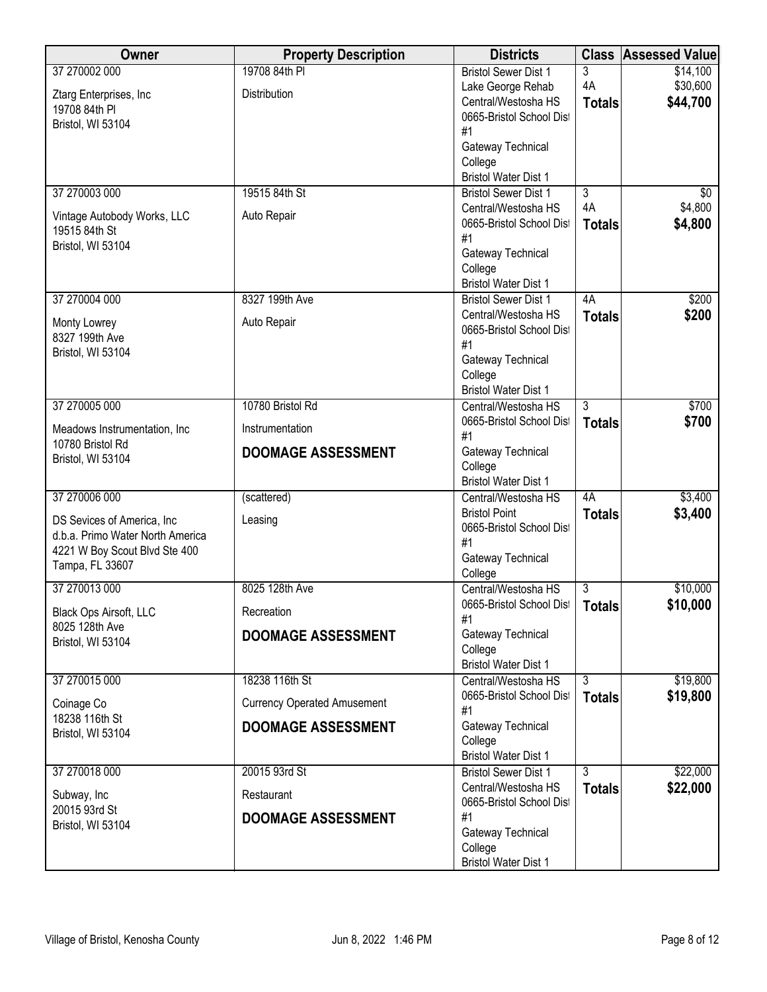| Owner                                        | <b>Property Description</b>        | <b>Districts</b>                       | <b>Class</b>   | <b>Assessed Value</b> |
|----------------------------------------------|------------------------------------|----------------------------------------|----------------|-----------------------|
| 37 270002 000                                | 19708 84th PI                      | <b>Bristol Sewer Dist 1</b>            | 3              | \$14,100              |
| Ztarg Enterprises, Inc                       | Distribution                       | Lake George Rehab                      | 4A             | \$30,600              |
| 19708 84th PI                                |                                    | Central/Westosha HS                    | <b>Totals</b>  | \$44,700              |
| Bristol, WI 53104                            |                                    | 0665-Bristol School Dist               |                |                       |
|                                              |                                    | #1                                     |                |                       |
|                                              |                                    | Gateway Technical<br>College           |                |                       |
|                                              |                                    | <b>Bristol Water Dist 1</b>            |                |                       |
| 37 270003 000                                | 19515 84th St                      | <b>Bristol Sewer Dist 1</b>            | $\overline{3}$ | \$0                   |
|                                              |                                    | Central/Westosha HS                    | 4A             | \$4,800               |
| Vintage Autobody Works, LLC<br>19515 84th St | Auto Repair                        | 0665-Bristol School Dist               | <b>Totals</b>  | \$4,800               |
| Bristol, WI 53104                            |                                    | #1                                     |                |                       |
|                                              |                                    | Gateway Technical                      |                |                       |
|                                              |                                    | College<br><b>Bristol Water Dist 1</b> |                |                       |
| 37 270004 000                                | 8327 199th Ave                     | <b>Bristol Sewer Dist 1</b>            | 4A             | \$200                 |
|                                              |                                    | Central/Westosha HS                    | <b>Totals</b>  | \$200                 |
| Monty Lowrey                                 | Auto Repair                        | 0665-Bristol School Dist               |                |                       |
| 8327 199th Ave                               |                                    | #1                                     |                |                       |
| Bristol, WI 53104                            |                                    | Gateway Technical                      |                |                       |
|                                              |                                    | College                                |                |                       |
|                                              |                                    | <b>Bristol Water Dist 1</b>            |                |                       |
| 37 270005 000                                | 10780 Bristol Rd                   | Central/Westosha HS                    | $\overline{3}$ | \$700                 |
| Meadows Instrumentation, Inc.                | Instrumentation                    | 0665-Bristol School Dist<br>#1         | <b>Totals</b>  | \$700                 |
| 10780 Bristol Rd                             | <b>DOOMAGE ASSESSMENT</b>          | Gateway Technical                      |                |                       |
| Bristol, WI 53104                            |                                    | College                                |                |                       |
|                                              |                                    | <b>Bristol Water Dist 1</b>            |                |                       |
| 37 270006 000                                | (scattered)                        | Central/Westosha HS                    | 4A             | \$3,400               |
| DS Sevices of America, Inc.                  | Leasing                            | <b>Bristol Point</b>                   | <b>Totals</b>  | \$3,400               |
| d.b.a. Primo Water North America             |                                    | 0665-Bristol School Dist<br>#1         |                |                       |
| 4221 W Boy Scout Blvd Ste 400                |                                    | Gateway Technical                      |                |                       |
| Tampa, FL 33607                              |                                    | College                                |                |                       |
| 37 270013 000                                | 8025 128th Ave                     | Central/Westosha HS                    | 3              | \$10,000              |
| Black Ops Airsoft, LLC                       | Recreation                         | 0665-Bristol School Dist<br>#1         | <b>Totals</b>  | \$10,000              |
| 8025 128th Ave                               | <b>DOOMAGE ASSESSMENT</b>          | Gateway Technical                      |                |                       |
| Bristol, WI 53104                            |                                    | College                                |                |                       |
|                                              |                                    | <b>Bristol Water Dist 1</b>            |                |                       |
| 37 270015 000                                | 18238 116th St                     | Central/Westosha HS                    | 3              | \$19,800              |
| Coinage Co                                   | <b>Currency Operated Amusement</b> | 0665-Bristol School Dist<br>#1         | <b>Totals</b>  | \$19,800              |
| 18238 116th St                               | <b>DOOMAGE ASSESSMENT</b>          | Gateway Technical                      |                |                       |
| Bristol, WI 53104                            |                                    | College                                |                |                       |
|                                              |                                    | <b>Bristol Water Dist 1</b>            |                |                       |
| 37 270018 000                                | 20015 93rd St                      | <b>Bristol Sewer Dist 1</b>            | $\overline{3}$ | \$22,000              |
| Subway, Inc                                  | Restaurant                         | Central/Westosha HS                    | <b>Totals</b>  | \$22,000              |
| 20015 93rd St                                | <b>DOOMAGE ASSESSMENT</b>          | 0665-Bristol School Dist<br>#1         |                |                       |
| Bristol, WI 53104                            |                                    | Gateway Technical                      |                |                       |
|                                              |                                    | College                                |                |                       |
|                                              |                                    | <b>Bristol Water Dist 1</b>            |                |                       |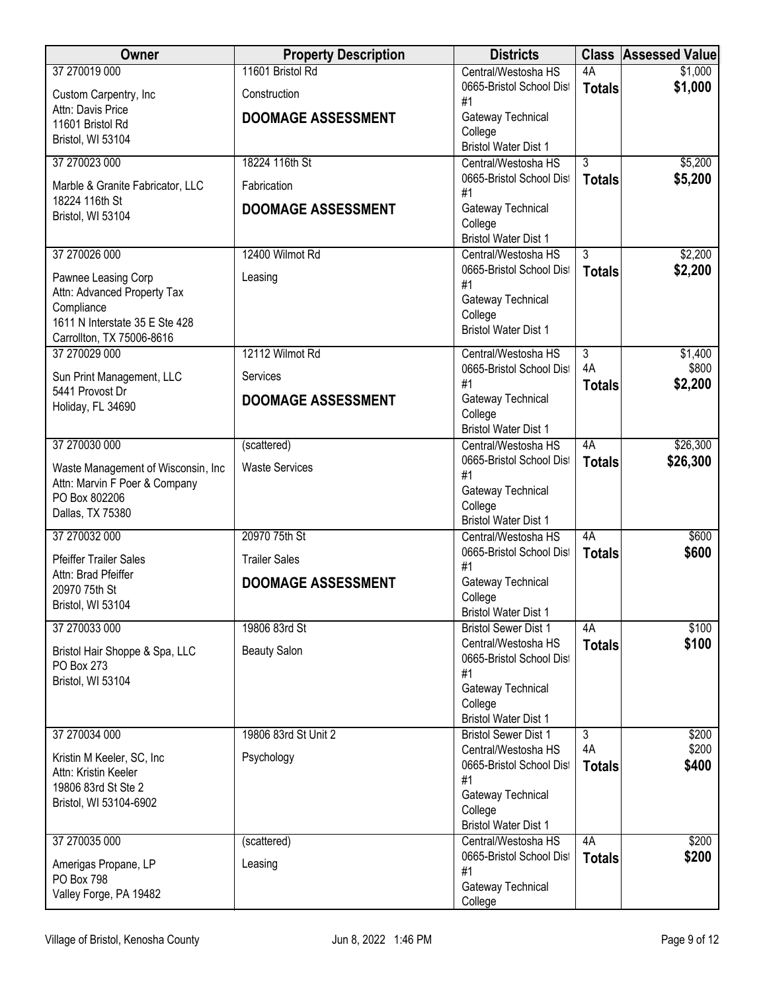| Owner                                              | <b>Property Description</b> | <b>Districts</b>                                   | <b>Class</b>        | <b>Assessed Value</b> |
|----------------------------------------------------|-----------------------------|----------------------------------------------------|---------------------|-----------------------|
| 37 270019 000                                      | 11601 Bristol Rd            | Central/Westosha HS                                | 4A                  | \$1,000               |
| Custom Carpentry, Inc                              | Construction                | 0665-Bristol School Dist<br>#1                     | <b>Totals</b>       | \$1,000               |
| Attn: Davis Price<br>11601 Bristol Rd              | <b>DOOMAGE ASSESSMENT</b>   | Gateway Technical                                  |                     |                       |
| Bristol, WI 53104                                  |                             | College                                            |                     |                       |
| 37 270023 000                                      | 18224 116th St              | <b>Bristol Water Dist 1</b><br>Central/Westosha HS | 3                   | \$5,200               |
|                                                    |                             | 0665-Bristol School Dist                           | <b>Totals</b>       | \$5,200               |
| Marble & Granite Fabricator, LLC<br>18224 116th St | Fabrication                 | #1                                                 |                     |                       |
| Bristol, WI 53104                                  | <b>DOOMAGE ASSESSMENT</b>   | Gateway Technical<br>College                       |                     |                       |
|                                                    |                             | <b>Bristol Water Dist 1</b>                        |                     |                       |
| 37 270026 000                                      | 12400 Wilmot Rd             | Central/Westosha HS                                | $\overline{3}$      | \$2,200               |
| Pawnee Leasing Corp                                | Leasing                     | 0665-Bristol School Dist                           | <b>Totals</b>       | \$2,200               |
| Attn: Advanced Property Tax                        |                             | #1<br>Gateway Technical                            |                     |                       |
| Compliance<br>1611 N Interstate 35 E Ste 428       |                             | College                                            |                     |                       |
| Carrollton, TX 75006-8616                          |                             | <b>Bristol Water Dist 1</b>                        |                     |                       |
| 37 270029 000                                      | 12112 Wilmot Rd             | Central/Westosha HS                                | $\overline{3}$      | \$1,400               |
| Sun Print Management, LLC                          | Services                    | 0665-Bristol School Dist                           | 4A                  | \$800                 |
| 5441 Provost Dr                                    | <b>DOOMAGE ASSESSMENT</b>   | #1<br>Gateway Technical                            | <b>Totals</b>       | \$2,200               |
| Holiday, FL 34690                                  |                             | College                                            |                     |                       |
|                                                    |                             | <b>Bristol Water Dist 1</b>                        |                     |                       |
| 37 270030 000                                      | (scattered)                 | Central/Westosha HS<br>0665-Bristol School Dist    | 4A<br><b>Totals</b> | \$26,300<br>\$26,300  |
| Waste Management of Wisconsin, Inc                 | <b>Waste Services</b>       | #1                                                 |                     |                       |
| Attn: Marvin F Poer & Company<br>PO Box 802206     |                             | Gateway Technical                                  |                     |                       |
| Dallas, TX 75380                                   |                             | College<br><b>Bristol Water Dist 1</b>             |                     |                       |
| 37 270032 000                                      | 20970 75th St               | Central/Westosha HS                                | 4A                  | \$600                 |
| <b>Pfeiffer Trailer Sales</b>                      | <b>Trailer Sales</b>        | 0665-Bristol School Dist                           | <b>Totals</b>       | \$600                 |
| Attn: Brad Pfeiffer                                | <b>DOOMAGE ASSESSMENT</b>   | #1<br>Gateway Technical                            |                     |                       |
| 20970 75th St                                      |                             | College                                            |                     |                       |
| Bristol, WI 53104                                  |                             | <b>Bristol Water Dist 1</b>                        |                     |                       |
| 37 270033 000                                      | 19806 83rd St               | <b>Bristol Sewer Dist 1</b><br>Central/Westosha HS | 4A                  | \$100<br>\$100        |
| Bristol Hair Shoppe & Spa, LLC                     | <b>Beauty Salon</b>         | 0665-Bristol School Dist                           | <b>Totals</b>       |                       |
| PO Box 273<br>Bristol, WI 53104                    |                             | #1                                                 |                     |                       |
|                                                    |                             | Gateway Technical<br>College                       |                     |                       |
|                                                    |                             | <b>Bristol Water Dist 1</b>                        |                     |                       |
| 37 270034 000                                      | 19806 83rd St Unit 2        | <b>Bristol Sewer Dist 1</b>                        | $\overline{3}$      | \$200                 |
| Kristin M Keeler, SC, Inc.                         | Psychology                  | Central/Westosha HS<br>0665-Bristol School Dist    | 4A                  | \$200<br>\$400        |
| Attn: Kristin Keeler                               |                             | #1                                                 | <b>Totals</b>       |                       |
| 19806 83rd St Ste 2<br>Bristol, WI 53104-6902      |                             | Gateway Technical                                  |                     |                       |
|                                                    |                             | College<br><b>Bristol Water Dist 1</b>             |                     |                       |
| 37 270035 000                                      | (scattered)                 | Central/Westosha HS                                | 4A                  | \$200                 |
| Amerigas Propane, LP                               | Leasing                     | 0665-Bristol School Dist                           | <b>Totals</b>       | \$200                 |
| PO Box 798                                         |                             | #1                                                 |                     |                       |
| Valley Forge, PA 19482                             |                             | Gateway Technical<br>College                       |                     |                       |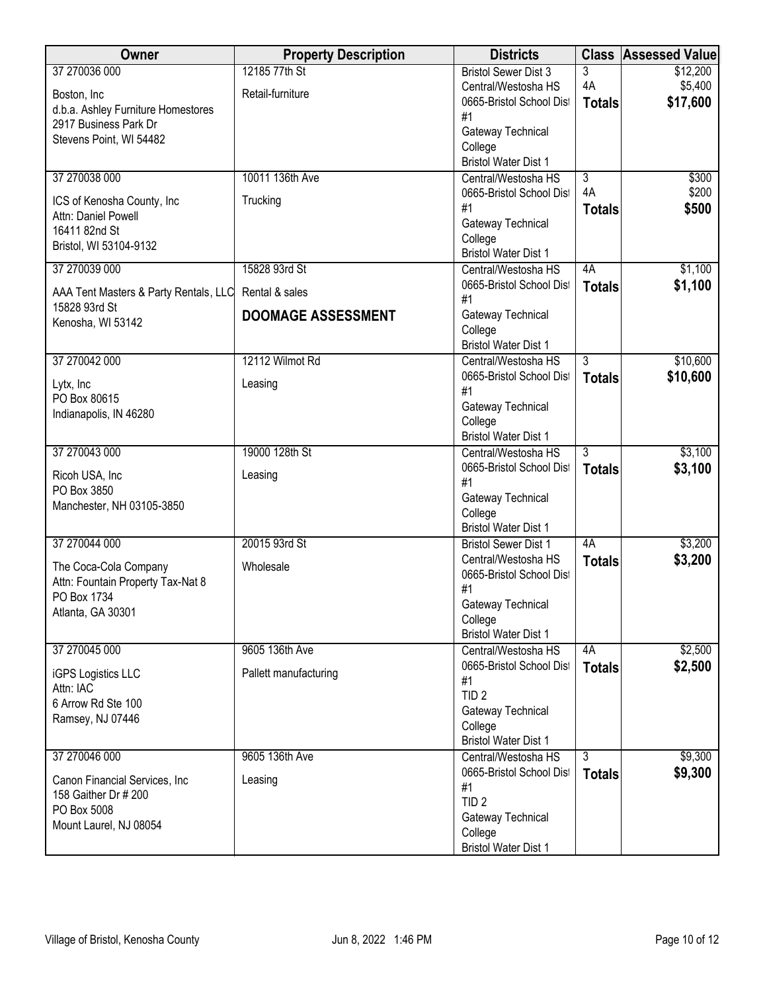| 12185 77th St<br>\$12,200<br>37 270036 000<br><b>Bristol Sewer Dist 3</b><br>3<br>4A<br>\$5,400<br>Central/Westosha HS<br>Retail-furniture<br>Boston, Inc<br>\$17,600<br>0665-Bristol School Dist<br><b>Totals</b><br>d.b.a. Ashley Furniture Homestores<br>#1<br>2917 Business Park Dr<br>Gateway Technical<br>Stevens Point, WI 54482<br>College<br><b>Bristol Water Dist 1</b><br>37 270038 000<br>10011 136th Ave<br>$\overline{3}$<br>\$300<br>Central/Westosha HS<br>4A<br>\$200<br>0665-Bristol School Dist<br>Trucking<br>ICS of Kenosha County, Inc<br>\$500<br>#1<br><b>Totals</b><br>Attn: Daniel Powell<br>Gateway Technical<br>16411 82nd St<br>College<br>Bristol, WI 53104-9132<br><b>Bristol Water Dist 1</b><br>\$1,100<br>37 270039 000<br>15828 93rd St<br>4A<br>Central/Westosha HS<br>\$1,100<br>0665-Bristol School Dist<br><b>Totals</b><br>Rental & sales<br>AAA Tent Masters & Party Rentals, LLC<br>#1<br>15828 93rd St<br>Gateway Technical<br><b>DOOMAGE ASSESSMENT</b><br>Kenosha, WI 53142<br>College<br><b>Bristol Water Dist 1</b><br>12112 Wilmot Rd<br>\$10,600<br>37 270042 000<br>$\overline{3}$<br>Central/Westosha HS<br>\$10,600<br>0665-Bristol School Dist<br><b>Totals</b><br>Lytx, Inc<br>Leasing<br>#1<br>PO Box 80615<br>Gateway Technical<br>Indianapolis, IN 46280<br>College<br><b>Bristol Water Dist 1</b><br>\$3,100<br>37 270043 000<br>19000 128th St<br>3<br>Central/Westosha HS<br>\$3,100<br>0665-Bristol School Dist<br><b>Totals</b><br>Ricoh USA, Inc<br>Leasing<br>#1<br>PO Box 3850<br>Gateway Technical<br>Manchester, NH 03105-3850<br>College<br><b>Bristol Water Dist 1</b><br>20015 93rd St<br>\$3,200<br>37 270044 000<br>4A<br><b>Bristol Sewer Dist 1</b><br>\$3,200<br>Central/Westosha HS |
|-----------------------------------------------------------------------------------------------------------------------------------------------------------------------------------------------------------------------------------------------------------------------------------------------------------------------------------------------------------------------------------------------------------------------------------------------------------------------------------------------------------------------------------------------------------------------------------------------------------------------------------------------------------------------------------------------------------------------------------------------------------------------------------------------------------------------------------------------------------------------------------------------------------------------------------------------------------------------------------------------------------------------------------------------------------------------------------------------------------------------------------------------------------------------------------------------------------------------------------------------------------------------------------------------------------------------------------------------------------------------------------------------------------------------------------------------------------------------------------------------------------------------------------------------------------------------------------------------------------------------------------------------------------------------------------------------------------------------------------------------------------------|
|                                                                                                                                                                                                                                                                                                                                                                                                                                                                                                                                                                                                                                                                                                                                                                                                                                                                                                                                                                                                                                                                                                                                                                                                                                                                                                                                                                                                                                                                                                                                                                                                                                                                                                                                                                 |
|                                                                                                                                                                                                                                                                                                                                                                                                                                                                                                                                                                                                                                                                                                                                                                                                                                                                                                                                                                                                                                                                                                                                                                                                                                                                                                                                                                                                                                                                                                                                                                                                                                                                                                                                                                 |
|                                                                                                                                                                                                                                                                                                                                                                                                                                                                                                                                                                                                                                                                                                                                                                                                                                                                                                                                                                                                                                                                                                                                                                                                                                                                                                                                                                                                                                                                                                                                                                                                                                                                                                                                                                 |
|                                                                                                                                                                                                                                                                                                                                                                                                                                                                                                                                                                                                                                                                                                                                                                                                                                                                                                                                                                                                                                                                                                                                                                                                                                                                                                                                                                                                                                                                                                                                                                                                                                                                                                                                                                 |
|                                                                                                                                                                                                                                                                                                                                                                                                                                                                                                                                                                                                                                                                                                                                                                                                                                                                                                                                                                                                                                                                                                                                                                                                                                                                                                                                                                                                                                                                                                                                                                                                                                                                                                                                                                 |
|                                                                                                                                                                                                                                                                                                                                                                                                                                                                                                                                                                                                                                                                                                                                                                                                                                                                                                                                                                                                                                                                                                                                                                                                                                                                                                                                                                                                                                                                                                                                                                                                                                                                                                                                                                 |
|                                                                                                                                                                                                                                                                                                                                                                                                                                                                                                                                                                                                                                                                                                                                                                                                                                                                                                                                                                                                                                                                                                                                                                                                                                                                                                                                                                                                                                                                                                                                                                                                                                                                                                                                                                 |
|                                                                                                                                                                                                                                                                                                                                                                                                                                                                                                                                                                                                                                                                                                                                                                                                                                                                                                                                                                                                                                                                                                                                                                                                                                                                                                                                                                                                                                                                                                                                                                                                                                                                                                                                                                 |
|                                                                                                                                                                                                                                                                                                                                                                                                                                                                                                                                                                                                                                                                                                                                                                                                                                                                                                                                                                                                                                                                                                                                                                                                                                                                                                                                                                                                                                                                                                                                                                                                                                                                                                                                                                 |
|                                                                                                                                                                                                                                                                                                                                                                                                                                                                                                                                                                                                                                                                                                                                                                                                                                                                                                                                                                                                                                                                                                                                                                                                                                                                                                                                                                                                                                                                                                                                                                                                                                                                                                                                                                 |
|                                                                                                                                                                                                                                                                                                                                                                                                                                                                                                                                                                                                                                                                                                                                                                                                                                                                                                                                                                                                                                                                                                                                                                                                                                                                                                                                                                                                                                                                                                                                                                                                                                                                                                                                                                 |
|                                                                                                                                                                                                                                                                                                                                                                                                                                                                                                                                                                                                                                                                                                                                                                                                                                                                                                                                                                                                                                                                                                                                                                                                                                                                                                                                                                                                                                                                                                                                                                                                                                                                                                                                                                 |
|                                                                                                                                                                                                                                                                                                                                                                                                                                                                                                                                                                                                                                                                                                                                                                                                                                                                                                                                                                                                                                                                                                                                                                                                                                                                                                                                                                                                                                                                                                                                                                                                                                                                                                                                                                 |
|                                                                                                                                                                                                                                                                                                                                                                                                                                                                                                                                                                                                                                                                                                                                                                                                                                                                                                                                                                                                                                                                                                                                                                                                                                                                                                                                                                                                                                                                                                                                                                                                                                                                                                                                                                 |
|                                                                                                                                                                                                                                                                                                                                                                                                                                                                                                                                                                                                                                                                                                                                                                                                                                                                                                                                                                                                                                                                                                                                                                                                                                                                                                                                                                                                                                                                                                                                                                                                                                                                                                                                                                 |
|                                                                                                                                                                                                                                                                                                                                                                                                                                                                                                                                                                                                                                                                                                                                                                                                                                                                                                                                                                                                                                                                                                                                                                                                                                                                                                                                                                                                                                                                                                                                                                                                                                                                                                                                                                 |
|                                                                                                                                                                                                                                                                                                                                                                                                                                                                                                                                                                                                                                                                                                                                                                                                                                                                                                                                                                                                                                                                                                                                                                                                                                                                                                                                                                                                                                                                                                                                                                                                                                                                                                                                                                 |
|                                                                                                                                                                                                                                                                                                                                                                                                                                                                                                                                                                                                                                                                                                                                                                                                                                                                                                                                                                                                                                                                                                                                                                                                                                                                                                                                                                                                                                                                                                                                                                                                                                                                                                                                                                 |
|                                                                                                                                                                                                                                                                                                                                                                                                                                                                                                                                                                                                                                                                                                                                                                                                                                                                                                                                                                                                                                                                                                                                                                                                                                                                                                                                                                                                                                                                                                                                                                                                                                                                                                                                                                 |
|                                                                                                                                                                                                                                                                                                                                                                                                                                                                                                                                                                                                                                                                                                                                                                                                                                                                                                                                                                                                                                                                                                                                                                                                                                                                                                                                                                                                                                                                                                                                                                                                                                                                                                                                                                 |
|                                                                                                                                                                                                                                                                                                                                                                                                                                                                                                                                                                                                                                                                                                                                                                                                                                                                                                                                                                                                                                                                                                                                                                                                                                                                                                                                                                                                                                                                                                                                                                                                                                                                                                                                                                 |
|                                                                                                                                                                                                                                                                                                                                                                                                                                                                                                                                                                                                                                                                                                                                                                                                                                                                                                                                                                                                                                                                                                                                                                                                                                                                                                                                                                                                                                                                                                                                                                                                                                                                                                                                                                 |
|                                                                                                                                                                                                                                                                                                                                                                                                                                                                                                                                                                                                                                                                                                                                                                                                                                                                                                                                                                                                                                                                                                                                                                                                                                                                                                                                                                                                                                                                                                                                                                                                                                                                                                                                                                 |
|                                                                                                                                                                                                                                                                                                                                                                                                                                                                                                                                                                                                                                                                                                                                                                                                                                                                                                                                                                                                                                                                                                                                                                                                                                                                                                                                                                                                                                                                                                                                                                                                                                                                                                                                                                 |
|                                                                                                                                                                                                                                                                                                                                                                                                                                                                                                                                                                                                                                                                                                                                                                                                                                                                                                                                                                                                                                                                                                                                                                                                                                                                                                                                                                                                                                                                                                                                                                                                                                                                                                                                                                 |
|                                                                                                                                                                                                                                                                                                                                                                                                                                                                                                                                                                                                                                                                                                                                                                                                                                                                                                                                                                                                                                                                                                                                                                                                                                                                                                                                                                                                                                                                                                                                                                                                                                                                                                                                                                 |
|                                                                                                                                                                                                                                                                                                                                                                                                                                                                                                                                                                                                                                                                                                                                                                                                                                                                                                                                                                                                                                                                                                                                                                                                                                                                                                                                                                                                                                                                                                                                                                                                                                                                                                                                                                 |
|                                                                                                                                                                                                                                                                                                                                                                                                                                                                                                                                                                                                                                                                                                                                                                                                                                                                                                                                                                                                                                                                                                                                                                                                                                                                                                                                                                                                                                                                                                                                                                                                                                                                                                                                                                 |
| <b>Totals</b>                                                                                                                                                                                                                                                                                                                                                                                                                                                                                                                                                                                                                                                                                                                                                                                                                                                                                                                                                                                                                                                                                                                                                                                                                                                                                                                                                                                                                                                                                                                                                                                                                                                                                                                                                   |
| Wholesale<br>The Coca-Cola Company<br>0665-Bristol School Dist                                                                                                                                                                                                                                                                                                                                                                                                                                                                                                                                                                                                                                                                                                                                                                                                                                                                                                                                                                                                                                                                                                                                                                                                                                                                                                                                                                                                                                                                                                                                                                                                                                                                                                  |
| Attn: Fountain Property Tax-Nat 8<br>#1                                                                                                                                                                                                                                                                                                                                                                                                                                                                                                                                                                                                                                                                                                                                                                                                                                                                                                                                                                                                                                                                                                                                                                                                                                                                                                                                                                                                                                                                                                                                                                                                                                                                                                                         |
| PO Box 1734<br>Gateway Technical<br>Atlanta, GA 30301                                                                                                                                                                                                                                                                                                                                                                                                                                                                                                                                                                                                                                                                                                                                                                                                                                                                                                                                                                                                                                                                                                                                                                                                                                                                                                                                                                                                                                                                                                                                                                                                                                                                                                           |
| College                                                                                                                                                                                                                                                                                                                                                                                                                                                                                                                                                                                                                                                                                                                                                                                                                                                                                                                                                                                                                                                                                                                                                                                                                                                                                                                                                                                                                                                                                                                                                                                                                                                                                                                                                         |
| <b>Bristol Water Dist 1</b>                                                                                                                                                                                                                                                                                                                                                                                                                                                                                                                                                                                                                                                                                                                                                                                                                                                                                                                                                                                                                                                                                                                                                                                                                                                                                                                                                                                                                                                                                                                                                                                                                                                                                                                                     |
| \$2,500<br>37 270045 000<br>9605 136th Ave<br>Central/Westosha HS<br>4A                                                                                                                                                                                                                                                                                                                                                                                                                                                                                                                                                                                                                                                                                                                                                                                                                                                                                                                                                                                                                                                                                                                                                                                                                                                                                                                                                                                                                                                                                                                                                                                                                                                                                         |
| \$2,500<br>0665-Bristol School Dist<br><b>Totals</b><br>Pallett manufacturing<br><b>iGPS Logistics LLC</b><br>#1                                                                                                                                                                                                                                                                                                                                                                                                                                                                                                                                                                                                                                                                                                                                                                                                                                                                                                                                                                                                                                                                                                                                                                                                                                                                                                                                                                                                                                                                                                                                                                                                                                                |
| Attn: IAC<br>TID <sub>2</sub>                                                                                                                                                                                                                                                                                                                                                                                                                                                                                                                                                                                                                                                                                                                                                                                                                                                                                                                                                                                                                                                                                                                                                                                                                                                                                                                                                                                                                                                                                                                                                                                                                                                                                                                                   |
| 6 Arrow Rd Ste 100<br>Gateway Technical                                                                                                                                                                                                                                                                                                                                                                                                                                                                                                                                                                                                                                                                                                                                                                                                                                                                                                                                                                                                                                                                                                                                                                                                                                                                                                                                                                                                                                                                                                                                                                                                                                                                                                                         |
| Ramsey, NJ 07446<br>College                                                                                                                                                                                                                                                                                                                                                                                                                                                                                                                                                                                                                                                                                                                                                                                                                                                                                                                                                                                                                                                                                                                                                                                                                                                                                                                                                                                                                                                                                                                                                                                                                                                                                                                                     |
| <b>Bristol Water Dist 1</b>                                                                                                                                                                                                                                                                                                                                                                                                                                                                                                                                                                                                                                                                                                                                                                                                                                                                                                                                                                                                                                                                                                                                                                                                                                                                                                                                                                                                                                                                                                                                                                                                                                                                                                                                     |
| \$9,300<br>37 270046 000<br>9605 136th Ave<br>$\overline{3}$<br>Central/Westosha HS                                                                                                                                                                                                                                                                                                                                                                                                                                                                                                                                                                                                                                                                                                                                                                                                                                                                                                                                                                                                                                                                                                                                                                                                                                                                                                                                                                                                                                                                                                                                                                                                                                                                             |
| \$9,300<br>0665-Bristol School Dist<br><b>Totals</b><br>Leasing<br>Canon Financial Services, Inc                                                                                                                                                                                                                                                                                                                                                                                                                                                                                                                                                                                                                                                                                                                                                                                                                                                                                                                                                                                                                                                                                                                                                                                                                                                                                                                                                                                                                                                                                                                                                                                                                                                                |
| #1<br>158 Gaither Dr # 200                                                                                                                                                                                                                                                                                                                                                                                                                                                                                                                                                                                                                                                                                                                                                                                                                                                                                                                                                                                                                                                                                                                                                                                                                                                                                                                                                                                                                                                                                                                                                                                                                                                                                                                                      |
| TID <sub>2</sub><br>PO Box 5008                                                                                                                                                                                                                                                                                                                                                                                                                                                                                                                                                                                                                                                                                                                                                                                                                                                                                                                                                                                                                                                                                                                                                                                                                                                                                                                                                                                                                                                                                                                                                                                                                                                                                                                                 |
| Gateway Technical<br>Mount Laurel, NJ 08054                                                                                                                                                                                                                                                                                                                                                                                                                                                                                                                                                                                                                                                                                                                                                                                                                                                                                                                                                                                                                                                                                                                                                                                                                                                                                                                                                                                                                                                                                                                                                                                                                                                                                                                     |
| College<br><b>Bristol Water Dist 1</b>                                                                                                                                                                                                                                                                                                                                                                                                                                                                                                                                                                                                                                                                                                                                                                                                                                                                                                                                                                                                                                                                                                                                                                                                                                                                                                                                                                                                                                                                                                                                                                                                                                                                                                                          |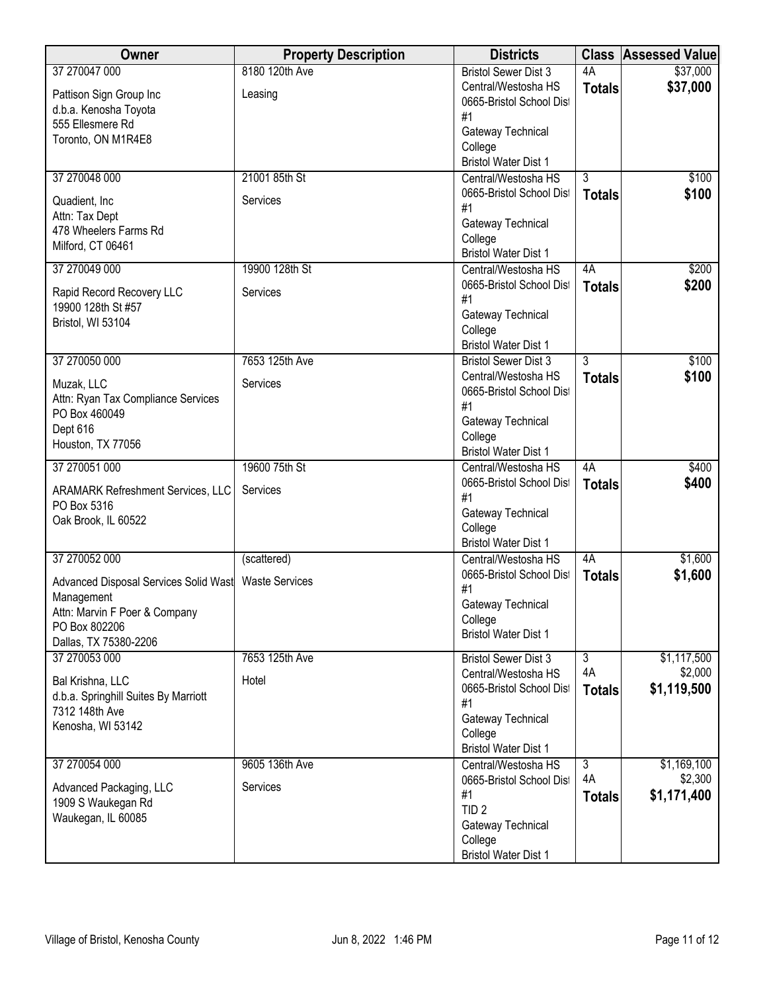| Owner                                                                | <b>Property Description</b> | <b>Districts</b>                                                           |                | <b>Class Assessed Value</b> |
|----------------------------------------------------------------------|-----------------------------|----------------------------------------------------------------------------|----------------|-----------------------------|
| 37 270047 000                                                        | 8180 120th Ave              | <b>Bristol Sewer Dist 3</b>                                                | 4A             | \$37,000                    |
| Pattison Sign Group Inc<br>d.b.a. Kenosha Toyota<br>555 Ellesmere Rd | Leasing                     | Central/Westosha HS<br>0665-Bristol School Dist<br>#1<br>Gateway Technical | <b>Totals</b>  | \$37,000                    |
| Toronto, ON M1R4E8                                                   |                             | College<br><b>Bristol Water Dist 1</b>                                     |                |                             |
| 37 270048 000                                                        | 21001 85th St               | Central/Westosha HS                                                        | $\overline{3}$ | \$100                       |
| Quadient, Inc.                                                       | Services                    | 0665-Bristol School Dist<br>#1                                             | <b>Totals</b>  | \$100                       |
| Attn: Tax Dept<br>478 Wheelers Farms Rd<br>Milford, CT 06461         |                             | Gateway Technical<br>College                                               |                |                             |
| 37 270049 000                                                        | 19900 128th St              | <b>Bristol Water Dist 1</b>                                                | 4A             |                             |
|                                                                      |                             | Central/Westosha HS<br>0665-Bristol School Dist                            | <b>Totals</b>  | \$200<br>\$200              |
| Rapid Record Recovery LLC<br>19900 128th St #57                      | Services                    | #1                                                                         |                |                             |
| Bristol, WI 53104                                                    |                             | Gateway Technical                                                          |                |                             |
|                                                                      |                             | College<br><b>Bristol Water Dist 1</b>                                     |                |                             |
| 37 270050 000                                                        | 7653 125th Ave              | <b>Bristol Sewer Dist 3</b>                                                | $\overline{3}$ | \$100                       |
| Muzak, LLC                                                           | Services                    | Central/Westosha HS                                                        | <b>Totals</b>  | \$100                       |
| Attn: Ryan Tax Compliance Services                                   |                             | 0665-Bristol School Dist                                                   |                |                             |
| PO Box 460049                                                        |                             | #1<br>Gateway Technical                                                    |                |                             |
| Dept 616                                                             |                             | College                                                                    |                |                             |
| Houston, TX 77056                                                    |                             | <b>Bristol Water Dist 1</b>                                                |                |                             |
| 37 270051 000                                                        | 19600 75th St               | Central/Westosha HS                                                        | 4A             | \$400                       |
| <b>ARAMARK Refreshment Services, LLC</b>                             | Services                    | 0665-Bristol School Dist<br>#1                                             | <b>Totals</b>  | \$400                       |
| PO Box 5316<br>Oak Brook, IL 60522                                   |                             | Gateway Technical                                                          |                |                             |
|                                                                      |                             | College                                                                    |                |                             |
| 37 270052 000                                                        | (scattered)                 | <b>Bristol Water Dist 1</b><br>Central/Westosha HS                         | 4A             | \$1,600                     |
|                                                                      |                             | 0665-Bristol School Dist                                                   | <b>Totals</b>  | \$1,600                     |
| Advanced Disposal Services Solid Wast<br>Management                  | <b>Waste Services</b>       | #1                                                                         |                |                             |
| Attn: Marvin F Poer & Company                                        |                             | Gateway Technical                                                          |                |                             |
| PO Box 802206                                                        |                             | College<br><b>Bristol Water Dist 1</b>                                     |                |                             |
| Dallas, TX 75380-2206<br>37 270053 000                               | 7653 125th Ave              | <b>Bristol Sewer Dist 3</b>                                                | $\overline{3}$ | \$1,117,500                 |
|                                                                      |                             | Central/Westosha HS                                                        | 4A             | \$2,000                     |
| Bal Krishna, LLC<br>d.b.a. Springhill Suites By Marriott             | Hotel                       | 0665-Bristol School Dist                                                   | <b>Totals</b>  | \$1,119,500                 |
| 7312 148th Ave                                                       |                             | #1                                                                         |                |                             |
| Kenosha, WI 53142                                                    |                             | Gateway Technical<br>College                                               |                |                             |
|                                                                      |                             | <b>Bristol Water Dist 1</b>                                                |                |                             |
| 37 270054 000                                                        | 9605 136th Ave              | Central/Westosha HS                                                        | 3              | \$1,169,100                 |
| Advanced Packaging, LLC                                              | Services                    | 0665-Bristol School Dist                                                   | 4A             | \$2,300                     |
| 1909 S Waukegan Rd                                                   |                             | #1<br>TID <sub>2</sub>                                                     | <b>Totals</b>  | \$1,171,400                 |
| Waukegan, IL 60085                                                   |                             | Gateway Technical                                                          |                |                             |
|                                                                      |                             | College                                                                    |                |                             |
|                                                                      |                             | <b>Bristol Water Dist 1</b>                                                |                |                             |